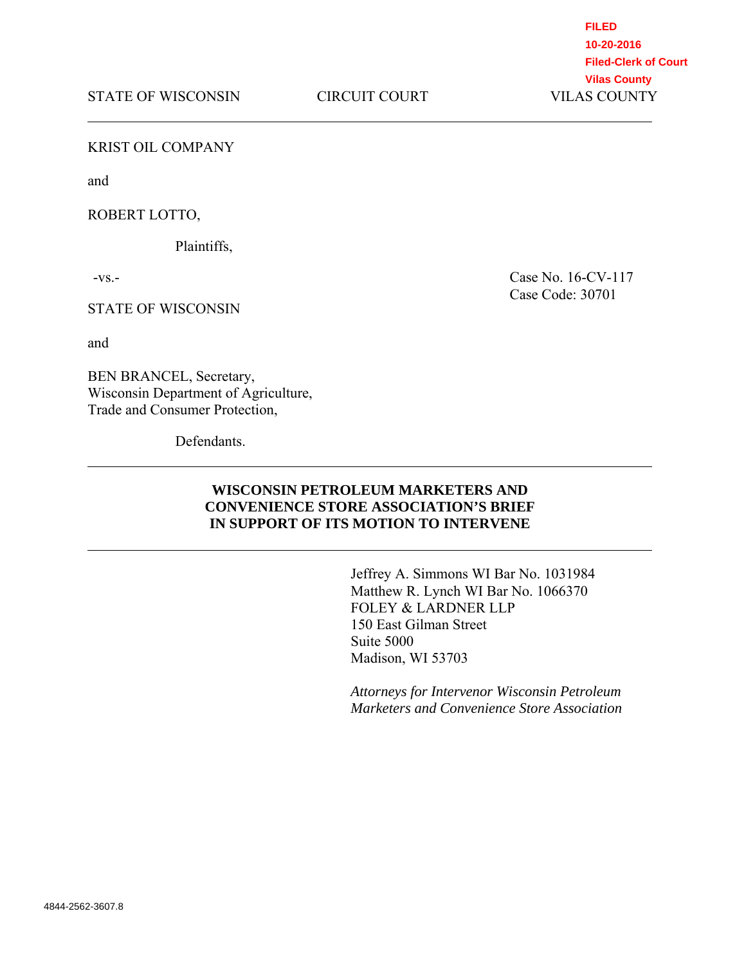**FILED 10-20-2016 Filed-Clerk of Court Vilas County**

#### KRIST OIL COMPANY

and

#### ROBERT LOTTO,

Plaintiffs,

 $-VS$ .

#### STATE OF WISCONSIN

and

BEN BRANCEL, Secretary, Wisconsin Department of Agriculture, Trade and Consumer Protection,

**Defendants** 

Case No. 16-CV-117 Case Code: 30701

# **WISCONSIN PETROLEUM MARKETERS AND CONVENIENCE STORE ASSOCIATION'S BRIEF IN SUPPORT OF ITS MOTION TO INTERVENE**

Jeffrey A. Simmons WI Bar No. 1031984 Matthew R. Lynch WI Bar No. 1066370 FOLEY & LARDNER LLP 150 East Gilman Street Suite 5000 Madison, WI 53703

*Attorneys for Intervenor Wisconsin Petroleum Marketers and Convenience Store Association*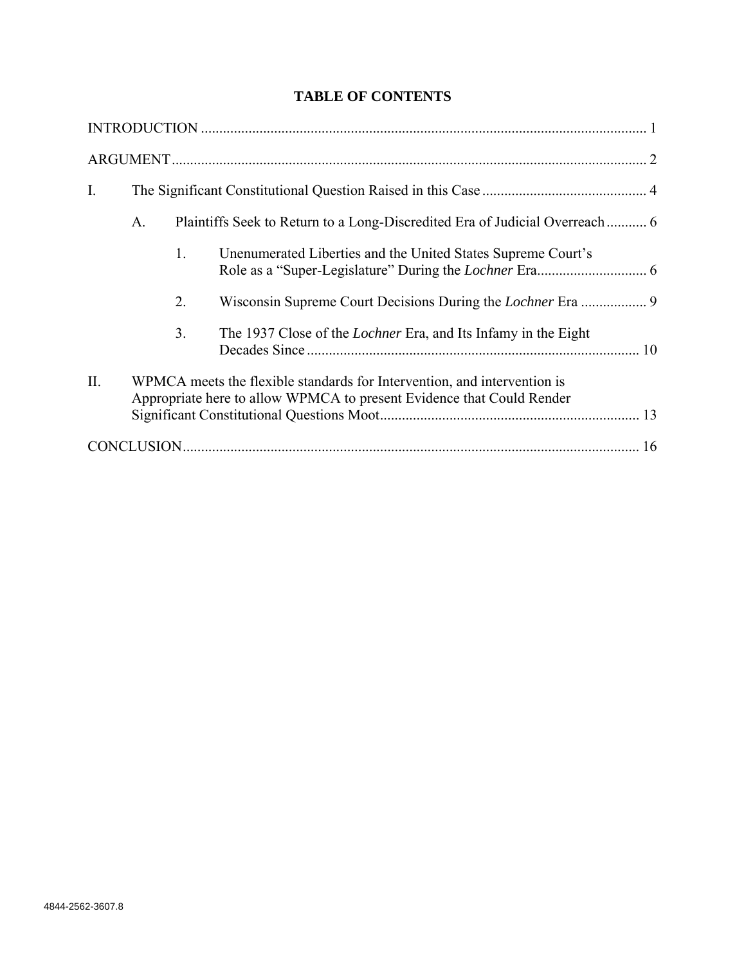# **TABLE OF CONTENTS**

| I.  |                                                                                                                                                   |    |                                                                       |  |  |
|-----|---------------------------------------------------------------------------------------------------------------------------------------------------|----|-----------------------------------------------------------------------|--|--|
|     | Plaintiffs Seek to Return to a Long-Discredited Era of Judicial Overreach  6<br>A.                                                                |    |                                                                       |  |  |
|     |                                                                                                                                                   | 1. | Unenumerated Liberties and the United States Supreme Court's          |  |  |
|     |                                                                                                                                                   | 2. |                                                                       |  |  |
|     |                                                                                                                                                   | 3. | The 1937 Close of the <i>Lochner</i> Era, and Its Infamy in the Eight |  |  |
| II. | WPMCA meets the flexible standards for Intervention, and intervention is<br>Appropriate here to allow WPMCA to present Evidence that Could Render |    |                                                                       |  |  |
|     |                                                                                                                                                   |    |                                                                       |  |  |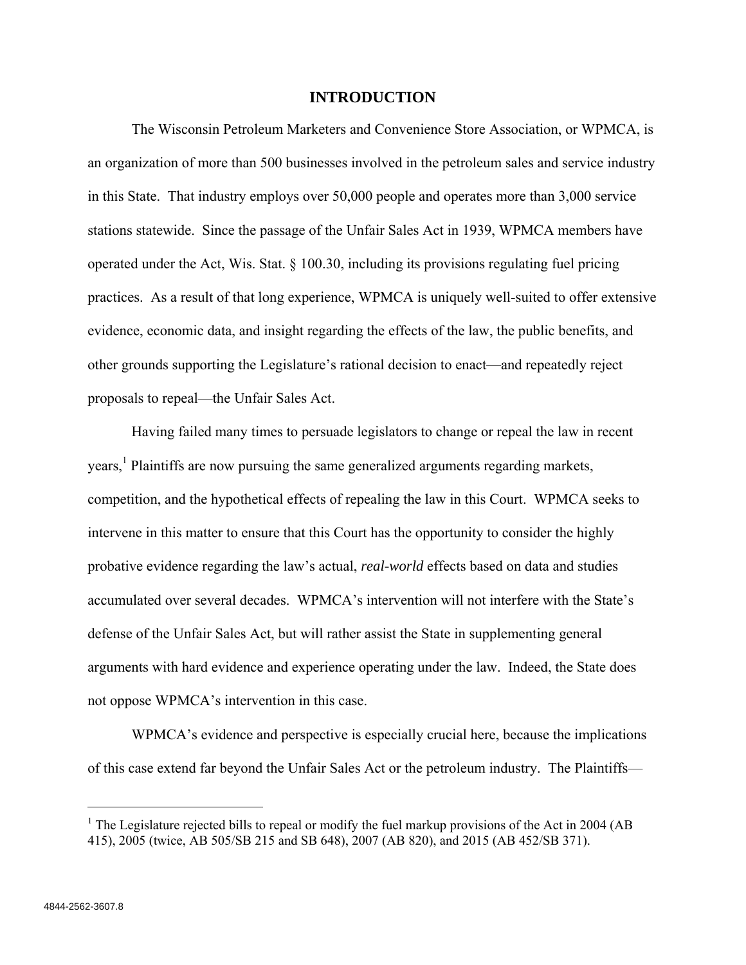### **INTRODUCTION**

The Wisconsin Petroleum Marketers and Convenience Store Association, or WPMCA, is an organization of more than 500 businesses involved in the petroleum sales and service industry in this State. That industry employs over 50,000 people and operates more than 3,000 service stations statewide. Since the passage of the Unfair Sales Act in 1939, WPMCA members have operated under the Act, Wis. Stat.  $\S$  100.30, including its provisions regulating fuel pricing practices. As a result of that long experience, WPMCA is uniquely well-suited to offer extensive evidence, economic data, and insight regarding the effects of the law, the public benefits, and other grounds supporting the Legislature's rational decision to enact—and repeatedly reject proposals to repeal—the Unfair Sales Act.

Having failed many times to persuade legislators to change or repeal the law in recent years,<sup>1</sup> Plaintiffs are now pursuing the same generalized arguments regarding markets, competition, and the hypothetical effects of repealing the law in this Court. WPMCA seeks to intervene in this matter to ensure that this Court has the opportunity to consider the highly probative evidence regarding the law's actual, *real-world* effects based on data and studies accumulated over several decades. WPMCA's intervention will not interfere with the State's defense of the Unfair Sales Act, but will rather assist the State in supplementing general arguments with hard evidence and experience operating under the law. Indeed, the State does not oppose WPMCA's intervention in this case.

WPMCA's evidence and perspective is especially crucial here, because the implications of this case extend far beyond the Unfair Sales Act or the petroleum industry. The Plaintiffs—

<sup>&</sup>lt;sup>1</sup> The Legislature rejected bills to repeal or modify the fuel markup provisions of the Act in 2004 (AB 415), 2005 (twice, AB 505/SB 215 and SB 648), 2007 (AB 820), and 2015 (AB 452/SB 371).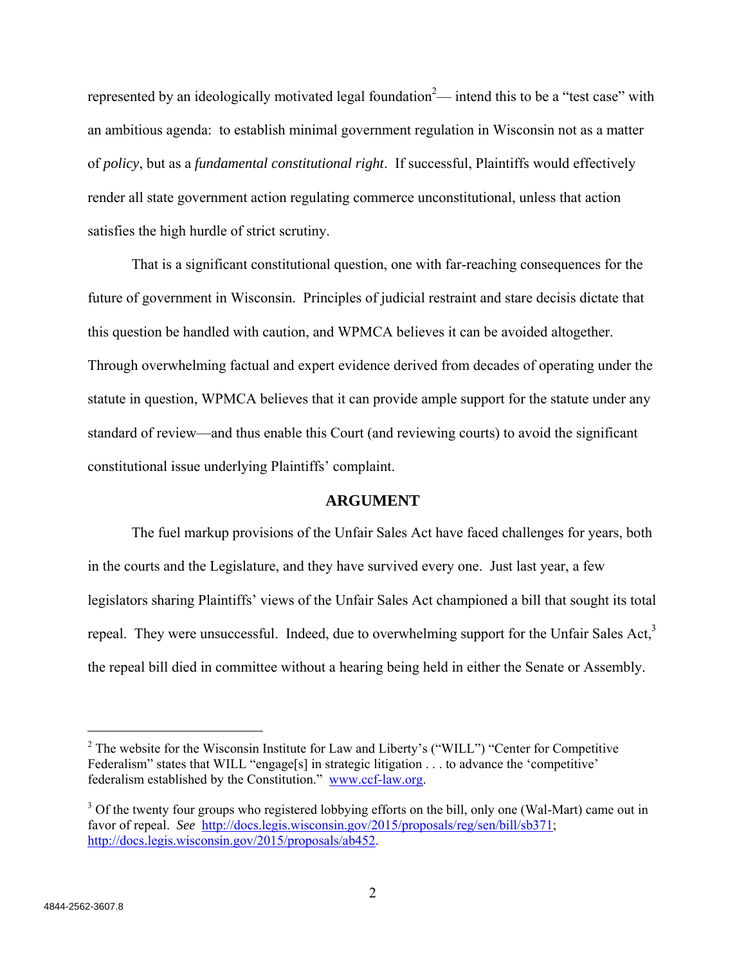represented by an ideologically motivated legal foundation<sup>2</sup>— intend this to be a "test case" with an ambitious agenda: to establish minimal government regulation in Wisconsin not as a matter of *policy*, but as a *fundamental constitutional right*. If successful, Plaintiffs would effectively render all state government action regulating commerce unconstitutional, unless that action satisfies the high hurdle of strict scrutiny.

That is a significant constitutional question, one with far-reaching consequences for the future of government in Wisconsin. Principles of judicial restraint and stare decisis dictate that this question be handled with caution, and WPMCA believes it can be avoided altogether. Through overwhelming factual and expert evidence derived from decades of operating under the statute in question, WPMCA believes that it can provide ample support for the statute under any standard of review—and thus enable this Court (and reviewing courts) to avoid the significant constitutional issue underlying Plaintiffs' complaint.

# **ARGUMENT**

The fuel markup provisions of the Unfair Sales Act have faced challenges for years, both in the courts and the Legislature, and they have survived every one. Just last year, a few legislators sharing Plaintiffs' views of the Unfair Sales Act championed a bill that sought its total repeal. They were unsuccessful. Indeed, due to overwhelming support for the Unfair Sales Act, $3$ the repeal bill died in committee without a hearing being held in either the Senate or Assembly.

<sup>&</sup>lt;sup>2</sup> The website for the Wisconsin Institute for Law and Liberty's ("WILL") "Center for Competitive Federalism" states that WILL "engage[s] in strategic litigation . . . to advance the 'competitive' federalism established by the Constitution." www.ccf-law.org.

<sup>&</sup>lt;sup>3</sup> Of the twenty four groups who registered lobbying efforts on the bill, only one (Wal-Mart) came out in favor of repeal. *See* http://docs.legis.wisconsin.gov/2015/proposals/reg/sen/bill/sb371; http://docs.legis.wisconsin.gov/2015/proposals/ab452.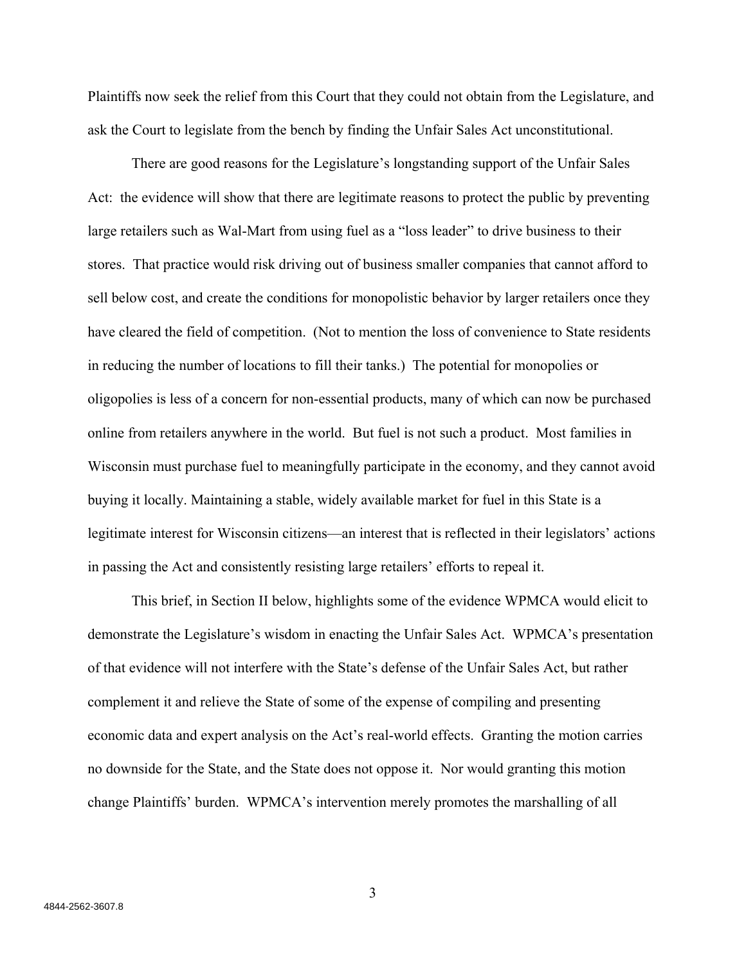Plaintiffs now seek the relief from this Court that they could not obtain from the Legislature, and ask the Court to legislate from the bench by finding the Unfair Sales Act unconstitutional.

There are good reasons for the Legislature's longstanding support of the Unfair Sales Act: the evidence will show that there are legitimate reasons to protect the public by preventing large retailers such as Wal-Mart from using fuel as a "loss leader" to drive business to their stores. That practice would risk driving out of business smaller companies that cannot afford to sell below cost, and create the conditions for monopolistic behavior by larger retailers once they have cleared the field of competition. (Not to mention the loss of convenience to State residents in reducing the number of locations to fill their tanks.) The potential for monopolies or oligopolies is less of a concern for non-essential products, many of which can now be purchased online from retailers anywhere in the world. But fuel is not such a product. Most families in Wisconsin must purchase fuel to meaningfully participate in the economy, and they cannot avoid buying it locally. Maintaining a stable, widely available market for fuel in this State is a legitimate interest for Wisconsin citizens—an interest that is reflected in their legislators' actions in passing the Act and consistently resisting large retailers' efforts to repeal it.

This brief, in Section II below, highlights some of the evidence WPMCA would elicit to demonstrate the Legislature's wisdom in enacting the Unfair Sales Act. WPMCA's presentation of that evidence will not interfere with the State's defense of the Unfair Sales Act, but rather complement it and relieve the State of some of the expense of compiling and presenting economic data and expert analysis on the Act's real-world effects. Granting the motion carries no downside for the State, and the State does not oppose it. Nor would granting this motion change Plaintiffs' burden. WPMCA's intervention merely promotes the marshalling of all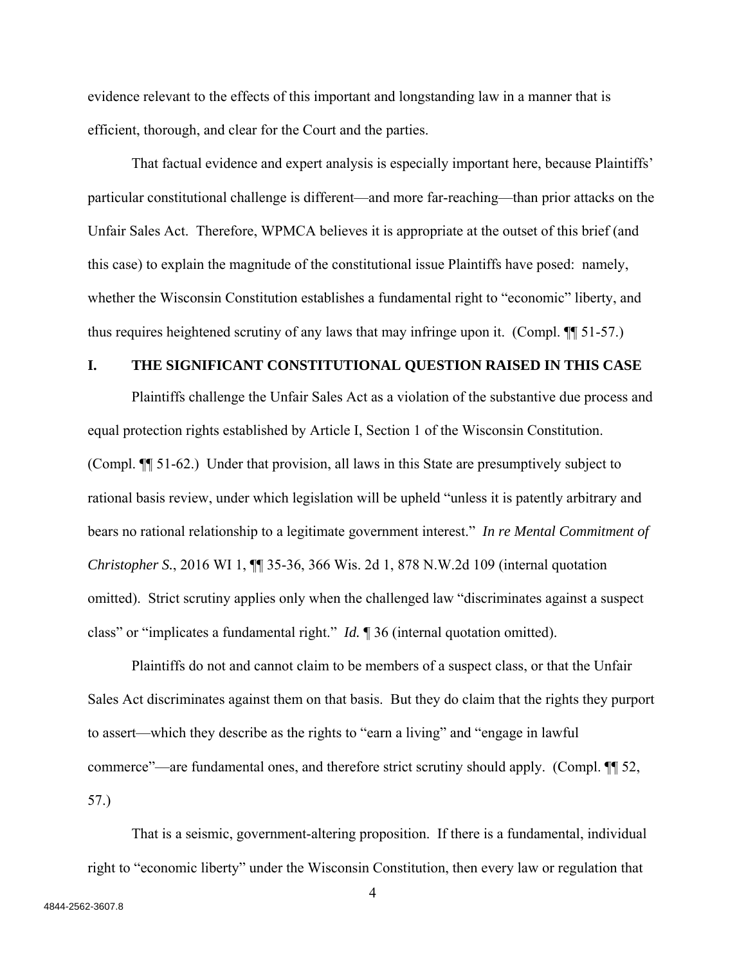evidence relevant to the effects of this important and longstanding law in a manner that is efficient, thorough, and clear for the Court and the parties.

That factual evidence and expert analysis is especially important here, because Plaintiffs' particular constitutional challenge is different—and more far-reaching—than prior attacks on the Unfair Sales Act. Therefore, WPMCA believes it is appropriate at the outset of this brief (and this case) to explain the magnitude of the constitutional issue Plaintiffs have posed: namely, whether the Wisconsin Constitution establishes a fundamental right to "economic" liberty, and thus requires heightened scrutiny of any laws that may infringe upon it. (Compl. ¶¶ 51-57.)

### **I. THE SIGNIFICANT CONSTITUTIONAL QUESTION RAISED IN THIS CASE**

Plaintiffs challenge the Unfair Sales Act as a violation of the substantive due process and equal protection rights established by Article I, Section 1 of the Wisconsin Constitution. (Compl. ¶¶ 51-62.) Under that provision, all laws in this State are presumptively subject to rational basis review, under which legislation will be upheld "unless it is patently arbitrary and bears no rational relationship to a legitimate government interest." *In re Mental Commitment of Christopher S.*, 2016 WI 1, **¶** 35-36, 366 Wis. 2d 1, 878 N.W.2d 109 (internal quotation omitted). Strict scrutiny applies only when the challenged law "discriminates against a suspect class" or "implicates a fundamental right." *Id.* ¶ 36 (internal quotation omitted).

Plaintiffs do not and cannot claim to be members of a suspect class, or that the Unfair Sales Act discriminates against them on that basis. But they do claim that the rights they purport to assert—which they describe as the rights to "earn a living" and "engage in lawful commerce"—are fundamental ones, and therefore strict scrutiny should apply. (Compl. ¶¶ 52, 57.)

That is a seismic, government-altering proposition. If there is a fundamental, individual right to "economic liberty" under the Wisconsin Constitution, then every law or regulation that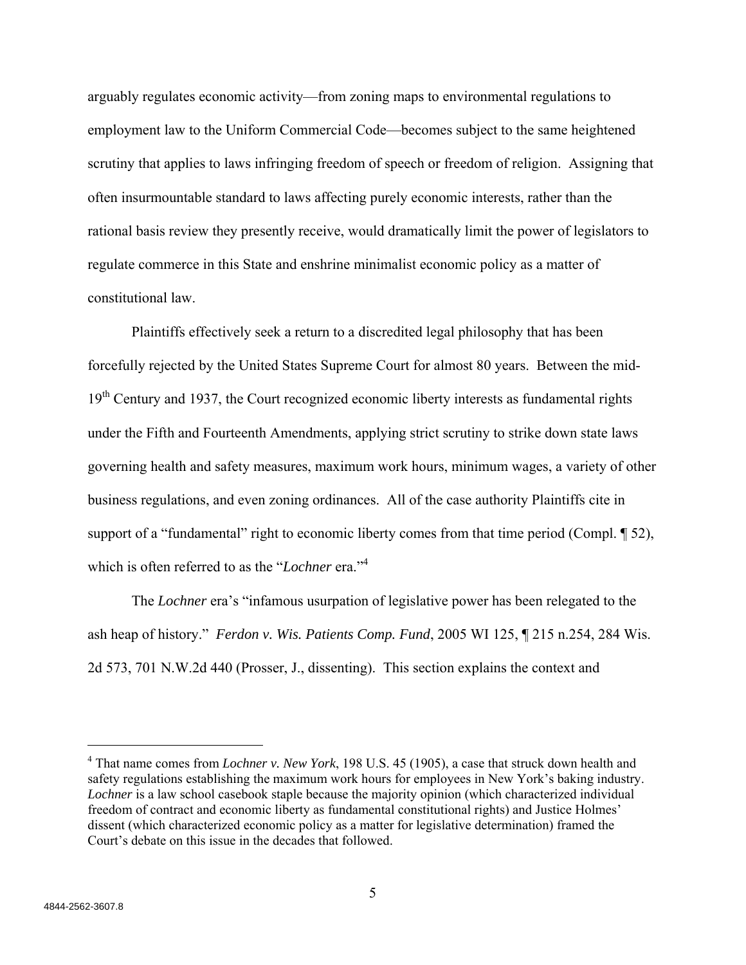arguably regulates economic activity—from zoning maps to environmental regulations to employment law to the Uniform Commercial Code—becomes subject to the same heightened scrutiny that applies to laws infringing freedom of speech or freedom of religion. Assigning that often insurmountable standard to laws affecting purely economic interests, rather than the rational basis review they presently receive, would dramatically limit the power of legislators to regulate commerce in this State and enshrine minimalist economic policy as a matter of constitutional law.

Plaintiffs effectively seek a return to a discredited legal philosophy that has been forcefully rejected by the United States Supreme Court for almost 80 years. Between the mid-19<sup>th</sup> Century and 1937, the Court recognized economic liberty interests as fundamental rights under the Fifth and Fourteenth Amendments, applying strict scrutiny to strike down state laws governing health and safety measures, maximum work hours, minimum wages, a variety of other business regulations, and even zoning ordinances. All of the case authority Plaintiffs cite in support of a "fundamental" right to economic liberty comes from that time period (Compl. 152), which is often referred to as the "*Lochner* era."<sup>4</sup>

The *Lochner* era's "infamous usurpation of legislative power has been relegated to the ash heap of history." *Ferdon v. Wis. Patients Comp. Fund*, 2005 WI 125, ¶ 215 n.254, 284 Wis. 2d 573, 701 N.W.2d 440 (Prosser, J., dissenting). This section explains the context and

<sup>4</sup> That name comes from *Lochner v. New York*, 198 U.S. 45 (1905), a case that struck down health and safety regulations establishing the maximum work hours for employees in New York's baking industry. *Lochner* is a law school casebook staple because the majority opinion (which characterized individual freedom of contract and economic liberty as fundamental constitutional rights) and Justice Holmes' dissent (which characterized economic policy as a matter for legislative determination) framed the Court's debate on this issue in the decades that followed.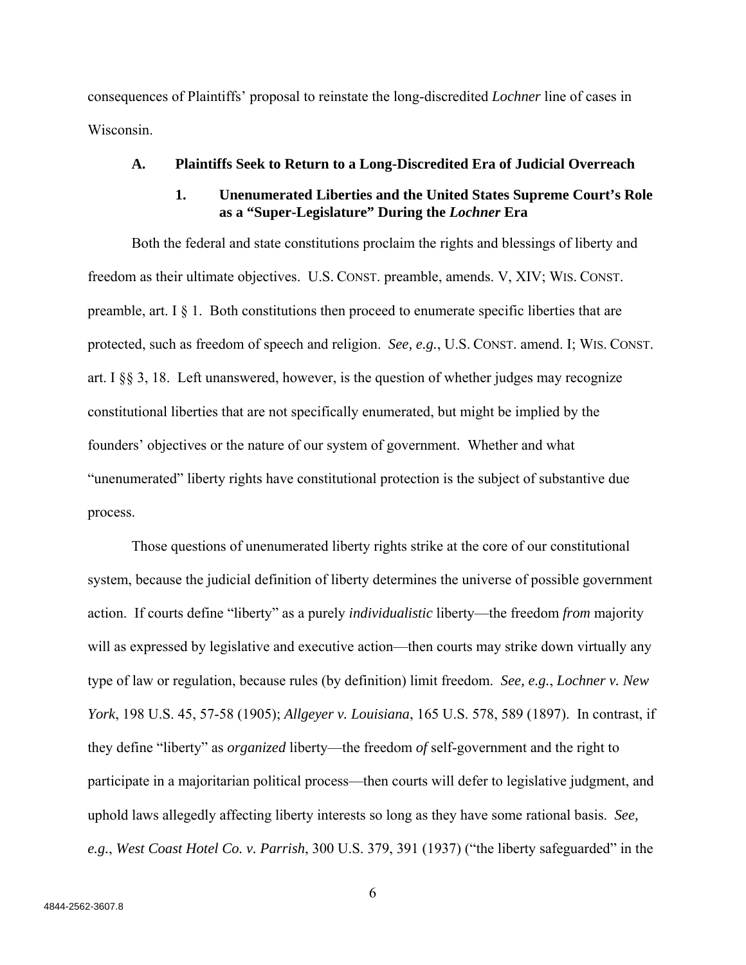consequences of Plaintiffs' proposal to reinstate the long-discredited *Lochner* line of cases in Wisconsin.

#### **A. Plaintiffs Seek to Return to a Long-Discredited Era of Judicial Overreach**

# **1. Unenumerated Liberties and the United States Supreme Court's Role as a "Super-Legislature" During the** *Lochner* **Era**

Both the federal and state constitutions proclaim the rights and blessings of liberty and freedom as their ultimate objectives. U.S. CONST. preamble, amends. V, XIV; WIS. CONST. preamble, art. I  $\S$  1. Both constitutions then proceed to enumerate specific liberties that are protected, such as freedom of speech and religion. *See, e.g.*, U.S. CONST. amend. I; WIS. CONST. art. I §§ 3, 18. Left unanswered, however, is the question of whether judges may recognize constitutional liberties that are not specifically enumerated, but might be implied by the founders' objectives or the nature of our system of government. Whether and what "unenumerated" liberty rights have constitutional protection is the subject of substantive due process.

Those questions of unenumerated liberty rights strike at the core of our constitutional system, because the judicial definition of liberty determines the universe of possible government action. If courts define "liberty" as a purely *individualistic* liberty—the freedom *from* majority will as expressed by legislative and executive action—then courts may strike down virtually any type of law or regulation, because rules (by definition) limit freedom. *See, e.g.*, *Lochner v. New York*, 198 U.S. 45, 57-58 (1905); *Allgeyer v. Louisiana*, 165 U.S. 578, 589 (1897). In contrast, if they define "liberty" as *organized* liberty—the freedom *of* self-government and the right to participate in a majoritarian political process—then courts will defer to legislative judgment, and uphold laws allegedly affecting liberty interests so long as they have some rational basis. *See, e.g.*, *West Coast Hotel Co. v. Parrish*, 300 U.S. 379, 391 (1937) ("the liberty safeguarded" in the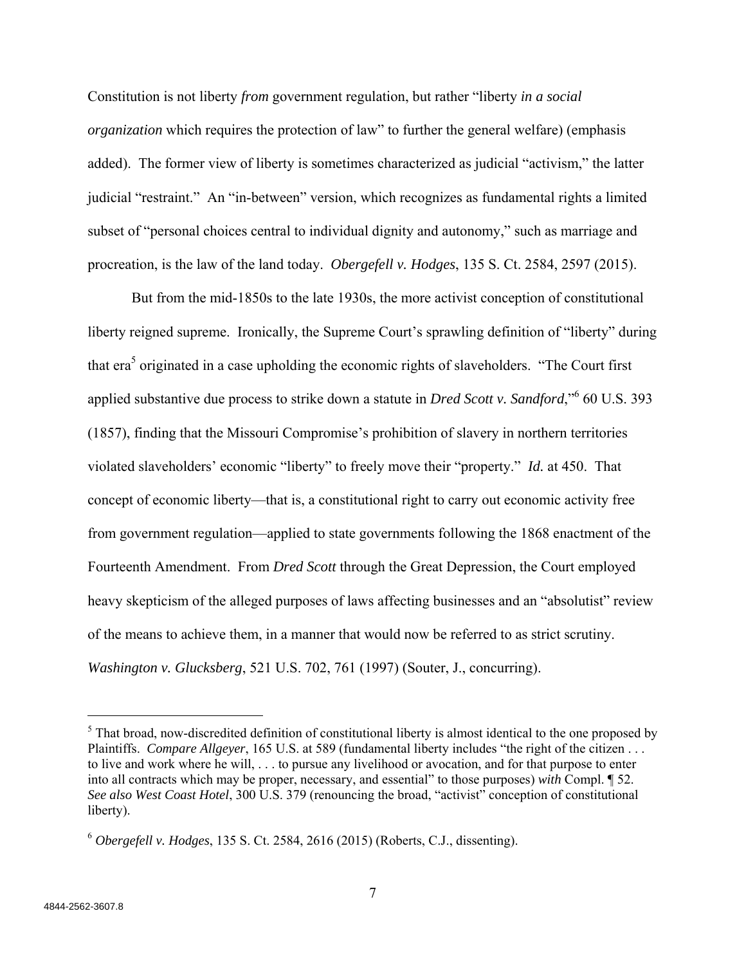Constitution is not liberty *from* government regulation, but rather "liberty *in a social organization* which requires the protection of law" to further the general welfare) (emphasis added). The former view of liberty is sometimes characterized as judicial "activism," the latter judicial "restraint." An "in-between" version, which recognizes as fundamental rights a limited subset of "personal choices central to individual dignity and autonomy," such as marriage and procreation, is the law of the land today. *Obergefell v. Hodges*, 135 S. Ct. 2584, 2597 (2015).

But from the mid-1850s to the late 1930s, the more activist conception of constitutional liberty reigned supreme. Ironically, the Supreme Court's sprawling definition of "liberty" during that era<sup>5</sup> originated in a case upholding the economic rights of slaveholders. "The Court first applied substantive due process to strike down a statute in *Dred Scott v. Sandford*,"<sup>6</sup> 60 U.S. 393 (1857), finding that the Missouri Compromise's prohibition of slavery in northern territories violated slaveholders' economic "liberty" to freely move their "property." *Id.* at 450. That concept of economic liberty—that is, a constitutional right to carry out economic activity free from government regulation—applied to state governments following the 1868 enactment of the Fourteenth Amendment. From *Dred Scott* through the Great Depression, the Court employed heavy skepticism of the alleged purposes of laws affecting businesses and an "absolutist" review of the means to achieve them, in a manner that would now be referred to as strict scrutiny. *Washington v. Glucksberg*, 521 U.S. 702, 761 (1997) (Souter, J., concurring).

 $<sup>5</sup>$  That broad, now-discredited definition of constitutional liberty is almost identical to the one proposed by</sup> Plaintiffs. *Compare Allgeyer*, 165 U.S. at 589 (fundamental liberty includes "the right of the citizen . . . to live and work where he will, . . . to pursue any livelihood or avocation, and for that purpose to enter into all contracts which may be proper, necessary, and essential" to those purposes) *with* Compl. ¶ 52. *See also West Coast Hotel*, 300 U.S. 379 (renouncing the broad, "activist" conception of constitutional liberty).

<sup>6</sup> *Obergefell v. Hodges*, 135 S. Ct. 2584, 2616 (2015) (Roberts, C.J., dissenting).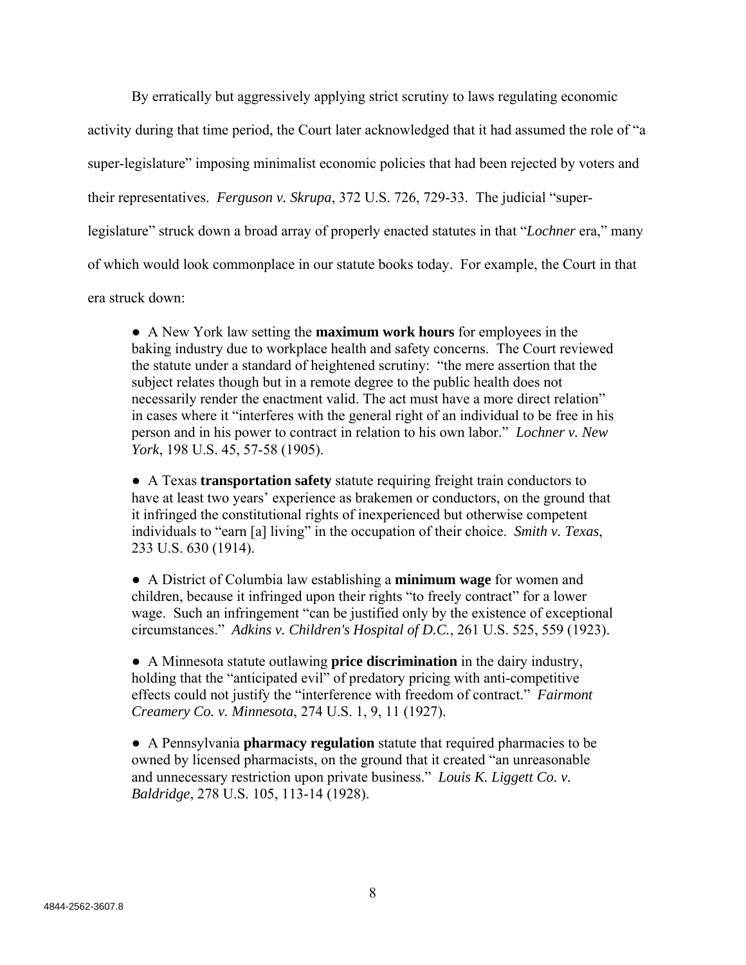By erratically but aggressively applying strict scrutiny to laws regulating economic

activity during that time period, the Court later acknowledged that it had assumed the role of "a

super-legislature" imposing minimalist economic policies that had been rejected by voters and

their representatives. *Ferguson v. Skrupa*, 372 U.S. 726, 729-33. The judicial "super-

legislature" struck down a broad array of properly enacted statutes in that "*Lochner* era," many

of which would look commonplace in our statute books today. For example, the Court in that

era struck down:

● A New York law setting the **maximum work hours** for employees in the baking industry due to workplace health and safety concerns. The Court reviewed the statute under a standard of heightened scrutiny: "the mere assertion that the subject relates though but in a remote degree to the public health does not necessarily render the enactment valid. The act must have a more direct relation" in cases where it "interferes with the general right of an individual to be free in his person and in his power to contract in relation to his own labor." *Lochner v. New York*, 198 U.S. 45, 57-58 (1905).

● A Texas **transportation safety** statute requiring freight train conductors to have at least two years' experience as brakemen or conductors, on the ground that it infringed the constitutional rights of inexperienced but otherwise competent individuals to "earn [a] living" in the occupation of their choice. *Smith v. Texas*, 233 U.S. 630 (1914).

● A District of Columbia law establishing a **minimum wage** for women and children, because it infringed upon their rights "to freely contract" for a lower wage. Such an infringement "can be justified only by the existence of exceptional circumstances." *Adkins v. Children's Hospital of D.C.*, 261 U.S. 525, 559 (1923).

● A Minnesota statute outlawing **price discrimination** in the dairy industry, holding that the "anticipated evil" of predatory pricing with anti-competitive effects could not justify the "interference with freedom of contract." *Fairmont Creamery Co. v. Minnesota*, 274 U.S. 1, 9, 11 (1927).

● A Pennsylvania **pharmacy regulation** statute that required pharmacies to be owned by licensed pharmacists, on the ground that it created "an unreasonable and unnecessary restriction upon private business." *Louis K. Liggett Co. v. Baldridge*, 278 U.S. 105, 113-14 (1928).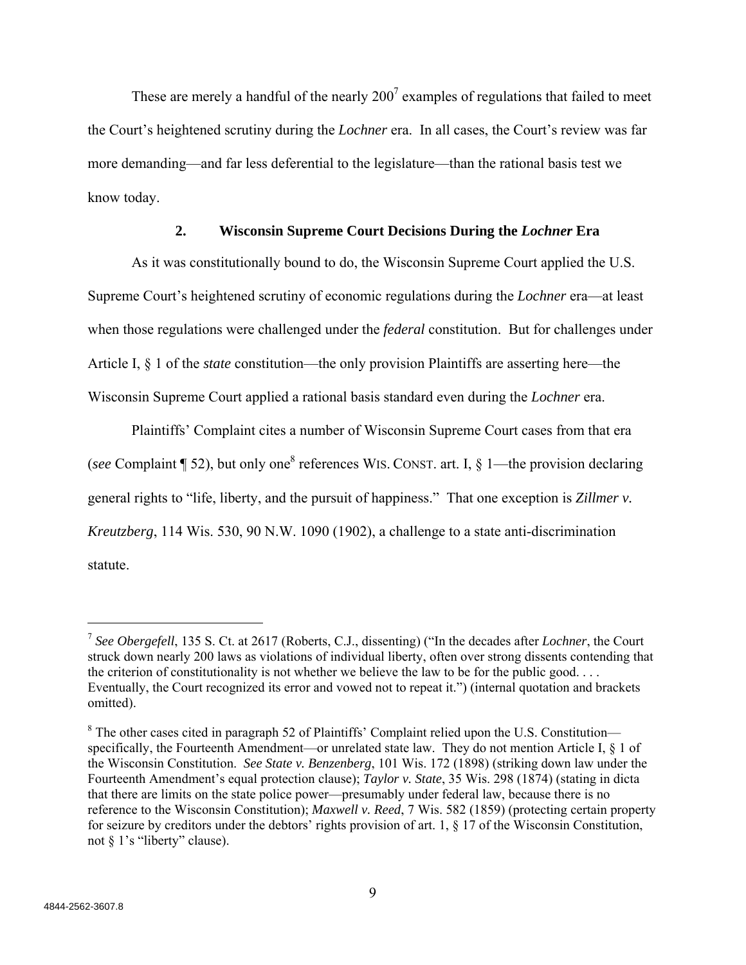These are merely a handful of the nearly  $200^7$  examples of regulations that failed to meet the Court's heightened scrutiny during the *Lochner* era. In all cases, the Court's review was far more demanding—and far less deferential to the legislature—than the rational basis test we know today.

# **2. Wisconsin Supreme Court Decisions During the** *Lochner* **Era**

As it was constitutionally bound to do, the Wisconsin Supreme Court applied the U.S. Supreme Court's heightened scrutiny of economic regulations during the *Lochner* era—at least when those regulations were challenged under the *federal* constitution. But for challenges under Article I, § 1 of the *state* constitution—the only provision Plaintiffs are asserting here—the Wisconsin Supreme Court applied a rational basis standard even during the *Lochner* era.

Plaintiffs' Complaint cites a number of Wisconsin Supreme Court cases from that era (see Complaint  $\P$  52), but only one<sup>8</sup> references WIS. CONST. art. I, § 1—the provision declaring general rights to "life, liberty, and the pursuit of happiness." That one exception is *Zillmer v. Kreutzberg*, 114 Wis. 530, 90 N.W. 1090 (1902), a challenge to a state anti-discrimination statute.

<sup>7</sup> *See Obergefell*, 135 S. Ct. at 2617 (Roberts, C.J., dissenting) ("In the decades after *Lochner*, the Court struck down nearly 200 laws as violations of individual liberty, often over strong dissents contending that the criterion of constitutionality is not whether we believe the law to be for the public good.... Eventually, the Court recognized its error and vowed not to repeat it.") (internal quotation and brackets omitted).

 $8$  The other cases cited in paragraph 52 of Plaintiffs' Complaint relied upon the U.S. Constitution specifically, the Fourteenth Amendment—or unrelated state law. They do not mention Article I, § 1 of the Wisconsin Constitution. *See State v. Benzenberg*, 101 Wis. 172 (1898) (striking down law under the Fourteenth Amendment's equal protection clause); *Taylor v. State*, 35 Wis. 298 (1874) (stating in dicta that there are limits on the state police power—presumably under federal law, because there is no reference to the Wisconsin Constitution); *Maxwell v. Reed*, 7 Wis. 582 (1859) (protecting certain property for seizure by creditors under the debtors' rights provision of art. 1, § 17 of the Wisconsin Constitution, not § 1's "liberty" clause).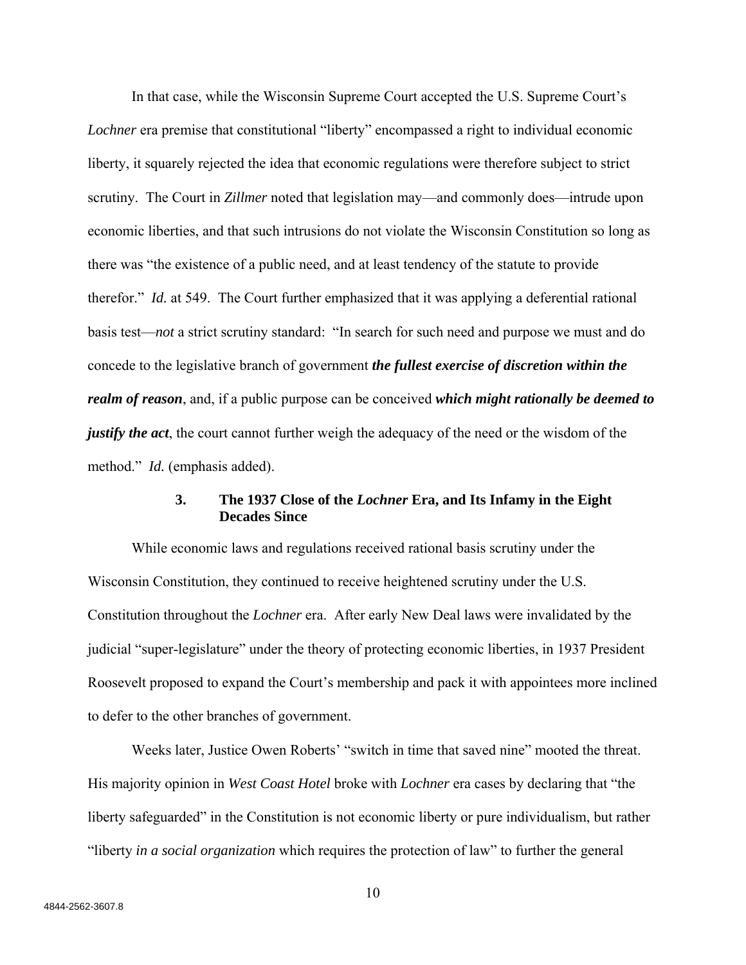In that case, while the Wisconsin Supreme Court accepted the U.S. Supreme Court's *Lochner* era premise that constitutional "liberty" encompassed a right to individual economic liberty, it squarely rejected the idea that economic regulations were therefore subject to strict scrutiny. The Court in *Zillmer* noted that legislation may—and commonly does—intrude upon economic liberties, and that such intrusions do not violate the Wisconsin Constitution so long as there was "the existence of a public need, and at least tendency of the statute to provide therefor." *Id.* at 549. The Court further emphasized that it was applying a deferential rational basis test—*not* a strict scrutiny standard: "In search for such need and purpose we must and do concede to the legislative branch of government *the fullest exercise of discretion within the realm of reason*, and, if a public purpose can be conceived *which might rationally be deemed to justify the act*, the court cannot further weigh the adequacy of the need or the wisdom of the method." *Id.* (emphasis added).

# **3. The 1937 Close of the** *Lochner* **Era, and Its Infamy in the Eight Decades Since**

While economic laws and regulations received rational basis scrutiny under the Wisconsin Constitution, they continued to receive heightened scrutiny under the U.S. Constitution throughout the *Lochner* era. After early New Deal laws were invalidated by the judicial "super-legislature" under the theory of protecting economic liberties, in 1937 President Roosevelt proposed to expand the Court's membership and pack it with appointees more inclined to defer to the other branches of government.

Weeks later, Justice Owen Roberts' "switch in time that saved nine" mooted the threat. His majority opinion in *West Coast Hotel* broke with *Lochner* era cases by declaring that "the liberty safeguarded" in the Constitution is not economic liberty or pure individualism, but rather "liberty *in a social organization* which requires the protection of law" to further the general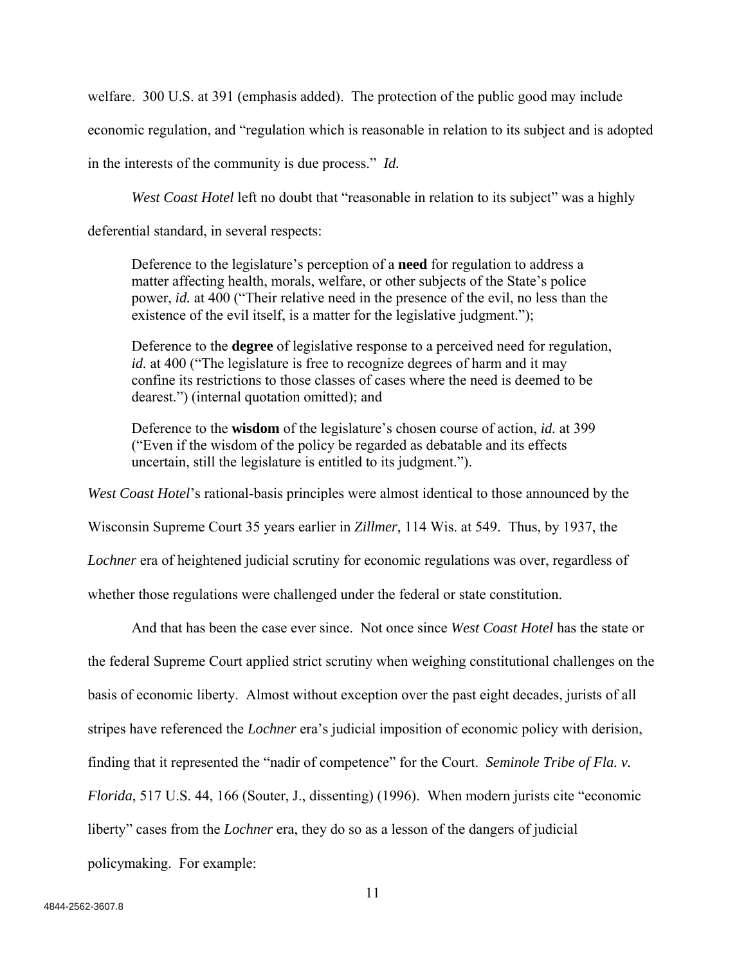welfare. 300 U.S. at 391 (emphasis added). The protection of the public good may include economic regulation, and "regulation which is reasonable in relation to its subject and is adopted in the interests of the community is due process." *Id.*

*West Coast Hotel* left no doubt that "reasonable in relation to its subject" was a highly

deferential standard, in several respects:

Deference to the legislature's perception of a **need** for regulation to address a matter affecting health, morals, welfare, or other subjects of the State's police power, *id.* at 400 ("Their relative need in the presence of the evil, no less than the existence of the evil itself, is a matter for the legislative judgment.");

Deference to the **degree** of legislative response to a perceived need for regulation, *id.* at 400 ("The legislature is free to recognize degrees of harm and it may confine its restrictions to those classes of cases where the need is deemed to be dearest.") (internal quotation omitted); and

Deference to the **wisdom** of the legislature's chosen course of action, *id.* at 399 ("Even if the wisdom of the policy be regarded as debatable and its effects uncertain, still the legislature is entitled to its judgment.").

*West Coast Hotel*'s rational-basis principles were almost identical to those announced by the

Wisconsin Supreme Court 35 years earlier in *Zillmer*, 114 Wis. at 549. Thus, by 1937, the

*Lochner* era of heightened judicial scrutiny for economic regulations was over, regardless of

whether those regulations were challenged under the federal or state constitution.

And that has been the case ever since. Not once since *West Coast Hotel* has the state or the federal Supreme Court applied strict scrutiny when weighing constitutional challenges on the basis of economic liberty. Almost without exception over the past eight decades, jurists of all stripes have referenced the *Lochner* era's judicial imposition of economic policy with derision, finding that it represented the "nadir of competence" for the Court. *Seminole Tribe of Fla. v. Florida*, 517 U.S. 44, 166 (Souter, J., dissenting) (1996). When modern jurists cite "economic liberty" cases from the *Lochner* era, they do so as a lesson of the dangers of judicial policymaking. For example: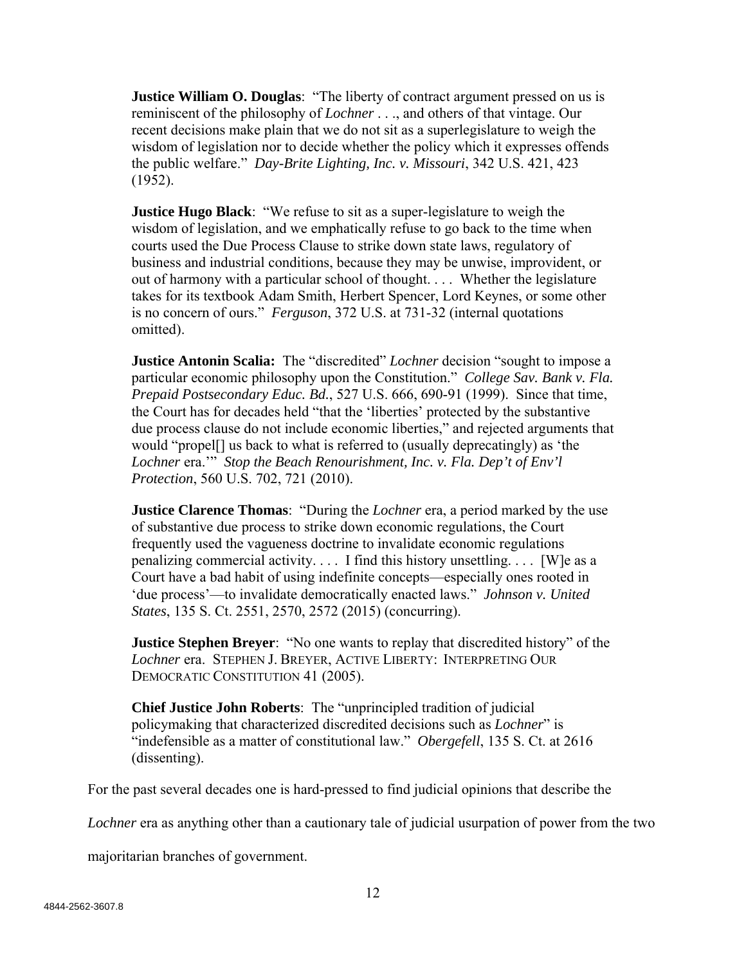**Justice William O. Douglas:** "The liberty of contract argument pressed on us is reminiscent of the philosophy of *Lochner* . . ., and others of that vintage. Our recent decisions make plain that we do not sit as a superlegislature to weigh the wisdom of legislation nor to decide whether the policy which it expresses offends the public welfare." *Day-Brite Lighting, Inc. v. Missouri*, 342 U.S. 421, 423 (1952).

**Justice Hugo Black**: "We refuse to sit as a super-legislature to weigh the wisdom of legislation, and we emphatically refuse to go back to the time when courts used the Due Process Clause to strike down state laws, regulatory of business and industrial conditions, because they may be unwise, improvident, or out of harmony with a particular school of thought. . . . Whether the legislature takes for its textbook Adam Smith, Herbert Spencer, Lord Keynes, or some other is no concern of ours." *Ferguson*, 372 U.S. at 731-32 (internal quotations omitted).

**Justice Antonin Scalia:** The "discredited" *Lochner* decision "sought to impose a particular economic philosophy upon the Constitution." *College Sav. Bank v. Fla. Prepaid Postsecondary Educ. Bd.*, 527 U.S. 666, 690-91 (1999). Since that time, the Court has for decades held "that the 'liberties' protected by the substantive due process clause do not include economic liberties," and rejected arguments that would "propel[] us back to what is referred to (usually deprecatingly) as 'the *Lochner* era.'" *Stop the Beach Renourishment, Inc. v. Fla. Dep't of Env'l Protection*, 560 U.S. 702, 721 (2010).

**Justice Clarence Thomas**: "During the *Lochner* era, a period marked by the use of substantive due process to strike down economic regulations, the Court frequently used the vagueness doctrine to invalidate economic regulations penalizing commercial activity. . . . I find this history unsettling. . . . [W]e as a Court have a bad habit of using indefinite concepts—especially ones rooted in 'due process'—to invalidate democratically enacted laws." *Johnson v. United States*, 135 S. Ct. 2551, 2570, 2572 (2015) (concurring).

**Justice Stephen Breyer:** "No one wants to replay that discredited history" of the *Lochner* era. STEPHEN J. BREYER, ACTIVE LIBERTY: INTERPRETING OUR DEMOCRATIC CONSTITUTION 41 (2005).

**Chief Justice John Roberts**: The "unprincipled tradition of judicial policymaking that characterized discredited decisions such as *Lochner*" is "indefensible as a matter of constitutional law." *Obergefell*, 135 S. Ct. at 2616 (dissenting).

For the past several decades one is hard-pressed to find judicial opinions that describe the

*Lochner* era as anything other than a cautionary tale of judicial usurpation of power from the two

majoritarian branches of government.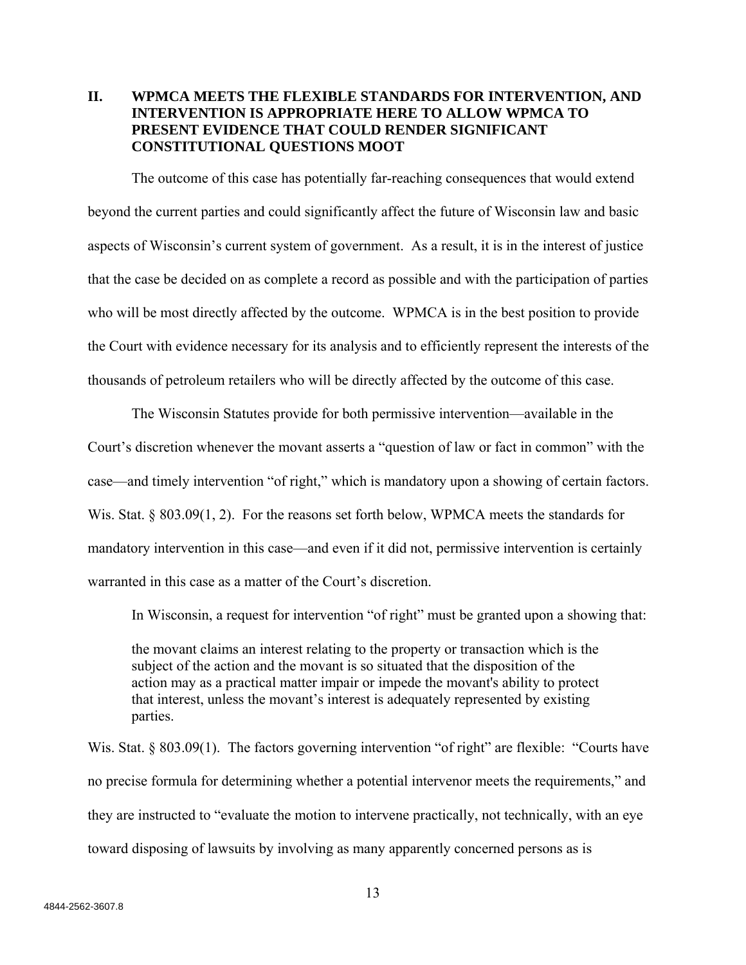# **II. WPMCA MEETS THE FLEXIBLE STANDARDS FOR INTERVENTION, AND INTERVENTION IS APPROPRIATE HERE TO ALLOW WPMCA TO PRESENT EVIDENCE THAT COULD RENDER SIGNIFICANT CONSTITUTIONAL QUESTIONS MOOT**

The outcome of this case has potentially far-reaching consequences that would extend beyond the current parties and could significantly affect the future of Wisconsin law and basic aspects of Wisconsin's current system of government. As a result, it is in the interest of justice that the case be decided on as complete a record as possible and with the participation of parties who will be most directly affected by the outcome. WPMCA is in the best position to provide the Court with evidence necessary for its analysis and to efficiently represent the interests of the thousands of petroleum retailers who will be directly affected by the outcome of this case.

The Wisconsin Statutes provide for both permissive intervention—available in the Court's discretion whenever the movant asserts a "question of law or fact in common" with the case—and timely intervention "of right," which is mandatory upon a showing of certain factors. Wis. Stat.  $\S$  803.09(1, 2). For the reasons set forth below, WPMCA meets the standards for mandatory intervention in this case—and even if it did not, permissive intervention is certainly warranted in this case as a matter of the Court's discretion.

In Wisconsin, a request for intervention "of right" must be granted upon a showing that:

the movant claims an interest relating to the property or transaction which is the subject of the action and the movant is so situated that the disposition of the action may as a practical matter impair or impede the movant's ability to protect that interest, unless the movant's interest is adequately represented by existing parties.

Wis. Stat. § 803.09(1). The factors governing intervention "of right" are flexible: "Courts have no precise formula for determining whether a potential intervenor meets the requirements," and they are instructed to "evaluate the motion to intervene practically, not technically, with an eye toward disposing of lawsuits by involving as many apparently concerned persons as is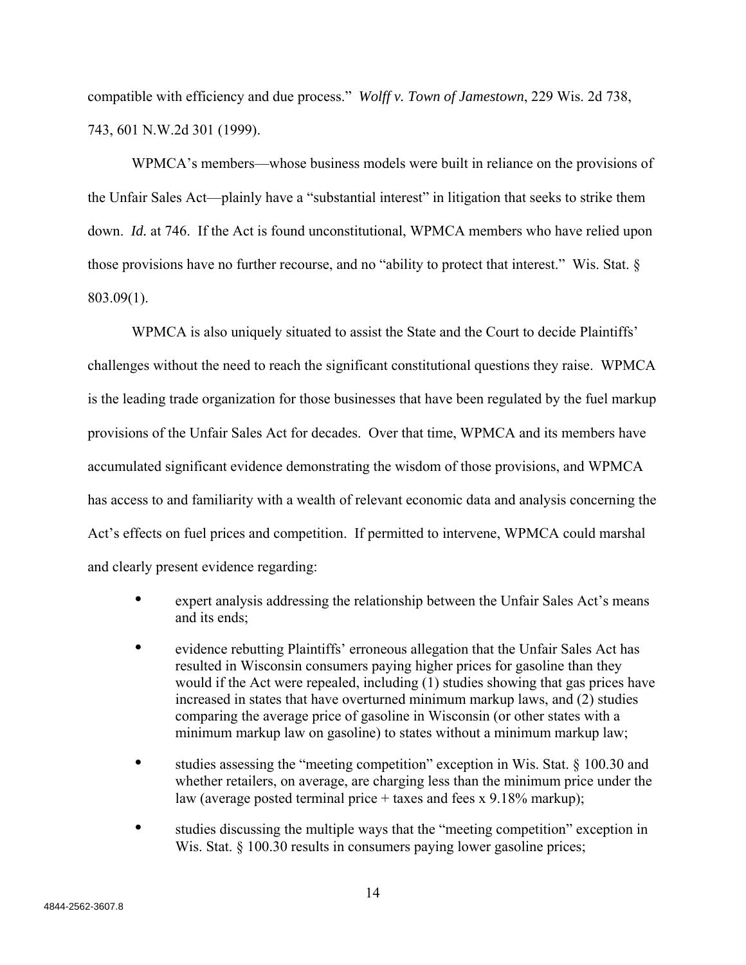compatible with efficiency and due process." *Wolff v. Town of Jamestown*, 229 Wis. 2d 738, 743, 601 N.W.2d 301 (1999).

WPMCA's members—whose business models were built in reliance on the provisions of the Unfair Sales Act—plainly have a "substantial interest" in litigation that seeks to strike them down. *Id.* at 746. If the Act is found unconstitutional, WPMCA members who have relied upon those provisions have no further recourse, and no "ability to protect that interest." Wis. Stat. § 803.09(1).

WPMCA is also uniquely situated to assist the State and the Court to decide Plaintiffs' challenges without the need to reach the significant constitutional questions they raise. WPMCA is the leading trade organization for those businesses that have been regulated by the fuel markup provisions of the Unfair Sales Act for decades. Over that time, WPMCA and its members have accumulated significant evidence demonstrating the wisdom of those provisions, and WPMCA has access to and familiarity with a wealth of relevant economic data and analysis concerning the Act's effects on fuel prices and competition. If permitted to intervene, WPMCA could marshal and clearly present evidence regarding:

- expert analysis addressing the relationship between the Unfair Sales Act's means and its ends;
- evidence rebutting Plaintiffs' erroneous allegation that the Unfair Sales Act has resulted in Wisconsin consumers paying higher prices for gasoline than they would if the Act were repealed, including (1) studies showing that gas prices have increased in states that have overturned minimum markup laws, and (2) studies comparing the average price of gasoline in Wisconsin (or other states with a minimum markup law on gasoline) to states without a minimum markup law;
- studies assessing the "meeting competition" exception in Wis. Stat. § 100.30 and whether retailers, on average, are charging less than the minimum price under the law (average posted terminal price + taxes and fees x 9.18% markup);
- studies discussing the multiple ways that the "meeting competition" exception in Wis. Stat. § 100.30 results in consumers paying lower gasoline prices;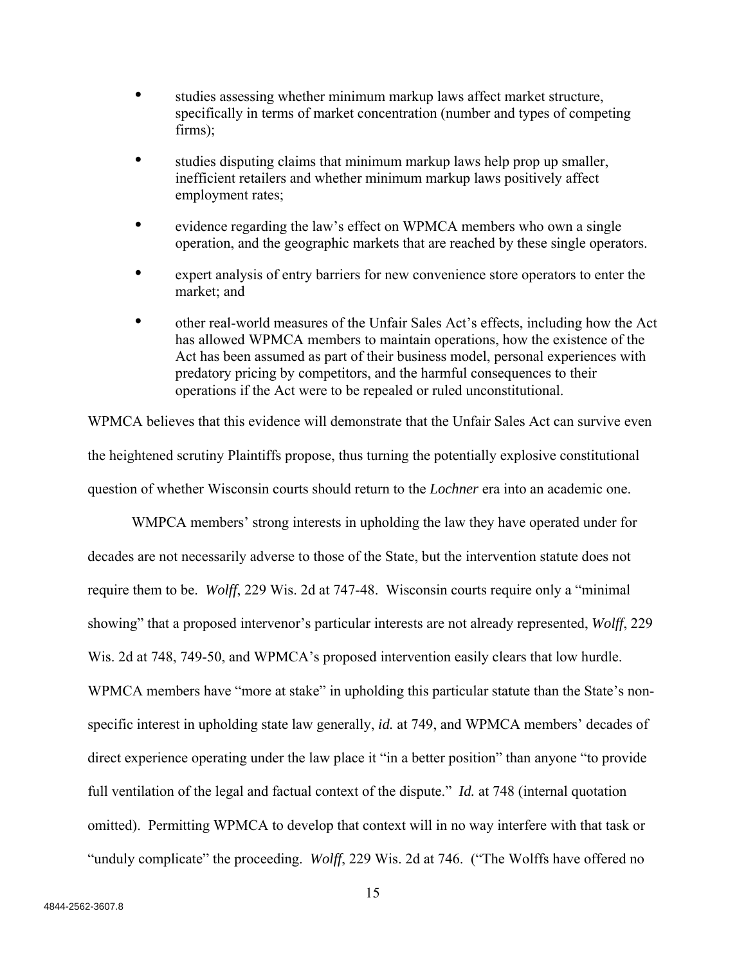- studies assessing whether minimum markup laws affect market structure, specifically in terms of market concentration (number and types of competing firms);
- studies disputing claims that minimum markup laws help prop up smaller, inefficient retailers and whether minimum markup laws positively affect employment rates;
- evidence regarding the law's effect on WPMCA members who own a single operation, and the geographic markets that are reached by these single operators.
- expert analysis of entry barriers for new convenience store operators to enter the market; and
- other real-world measures of the Unfair Sales Act's effects, including how the Act has allowed WPMCA members to maintain operations, how the existence of the Act has been assumed as part of their business model, personal experiences with predatory pricing by competitors, and the harmful consequences to their operations if the Act were to be repealed or ruled unconstitutional.

WPMCA believes that this evidence will demonstrate that the Unfair Sales Act can survive even the heightened scrutiny Plaintiffs propose, thus turning the potentially explosive constitutional question of whether Wisconsin courts should return to the *Lochner* era into an academic one.

WMPCA members' strong interests in upholding the law they have operated under for decades are not necessarily adverse to those of the State, but the intervention statute does not require them to be. *Wolff*, 229 Wis. 2d at 747-48. Wisconsin courts require only a "minimal showing" that a proposed intervenor's particular interests are not already represented, *Wolff*, 229 Wis. 2d at 748, 749-50, and WPMCA's proposed intervention easily clears that low hurdle. WPMCA members have "more at stake" in upholding this particular statute than the State's nonspecific interest in upholding state law generally, *id.* at 749, and WPMCA members' decades of direct experience operating under the law place it "in a better position" than anyone "to provide full ventilation of the legal and factual context of the dispute." *Id.* at 748 (internal quotation omitted). Permitting WPMCA to develop that context will in no way interfere with that task or "unduly complicate" the proceeding. *Wolff*, 229 Wis. 2d at 746. ("The Wolffs have offered no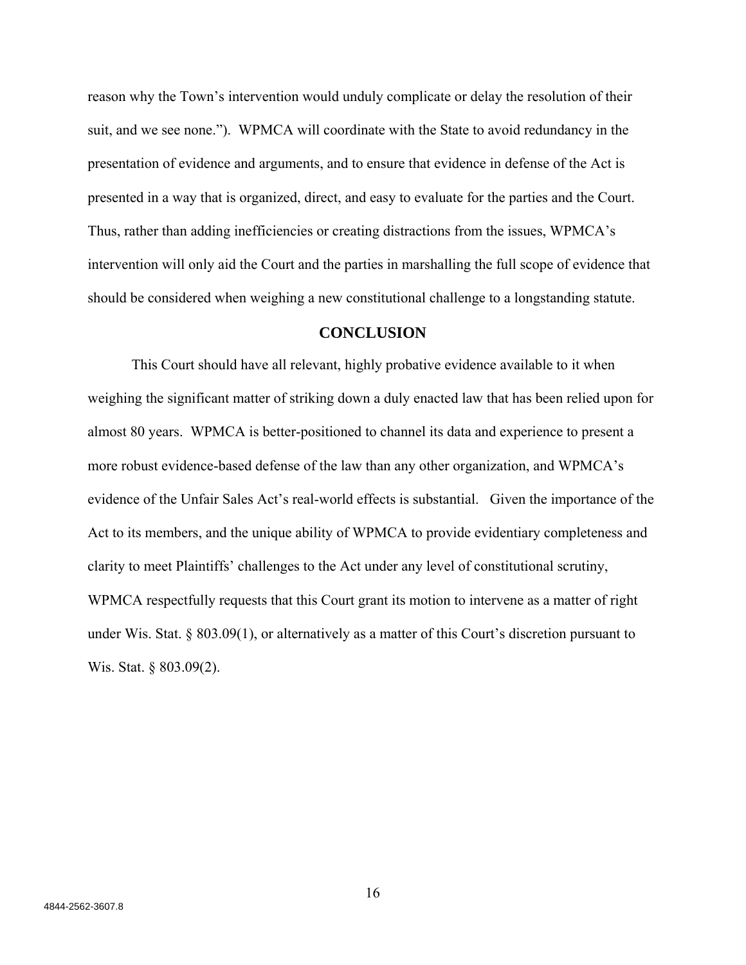reason why the Town's intervention would unduly complicate or delay the resolution of their suit, and we see none."). WPMCA will coordinate with the State to avoid redundancy in the presentation of evidence and arguments, and to ensure that evidence in defense of the Act is presented in a way that is organized, direct, and easy to evaluate for the parties and the Court. Thus, rather than adding inefficiencies or creating distractions from the issues, WPMCA's intervention will only aid the Court and the parties in marshalling the full scope of evidence that should be considered when weighing a new constitutional challenge to a longstanding statute.

### **CONCLUSION**

This Court should have all relevant, highly probative evidence available to it when weighing the significant matter of striking down a duly enacted law that has been relied upon for almost 80 years. WPMCA is better-positioned to channel its data and experience to present a more robust evidence-based defense of the law than any other organization, and WPMCA's evidence of the Unfair Sales Act's real-world effects is substantial. Given the importance of the Act to its members, and the unique ability of WPMCA to provide evidentiary completeness and clarity to meet Plaintiffs' challenges to the Act under any level of constitutional scrutiny, WPMCA respectfully requests that this Court grant its motion to intervene as a matter of right under Wis. Stat.  $\S$  803.09(1), or alternatively as a matter of this Court's discretion pursuant to Wis. Stat. § 803.09(2).